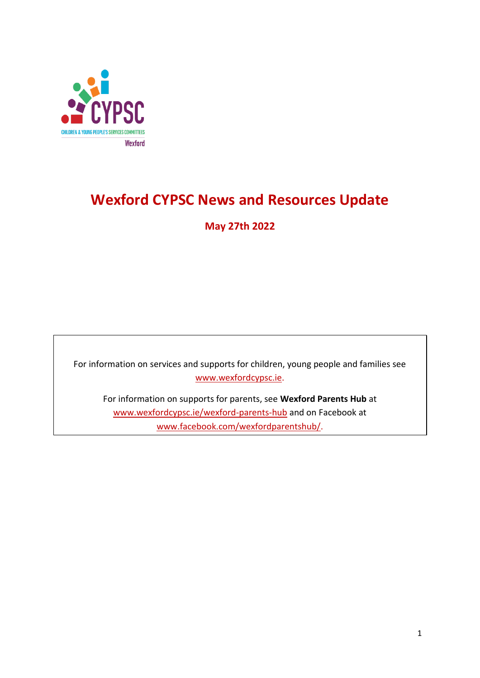

# **Wexford CYPSC News and Resources Update**

**May 27th 2022**

For information on services and supports for children, young people and families see [www.wexfordcypsc.ie.](http://www.wexfordcypsc.ie/)

For information on supports for parents, see **Wexford Parents Hub** at [www.wexfordcypsc.ie/wexford-parents-hub](http://www.wexfordcypsc.ie/wexford-parents-hub) and on Facebook at [www.facebook.com/wexfordparentshub/.](https://www.facebook.com/wexfordparentshub/)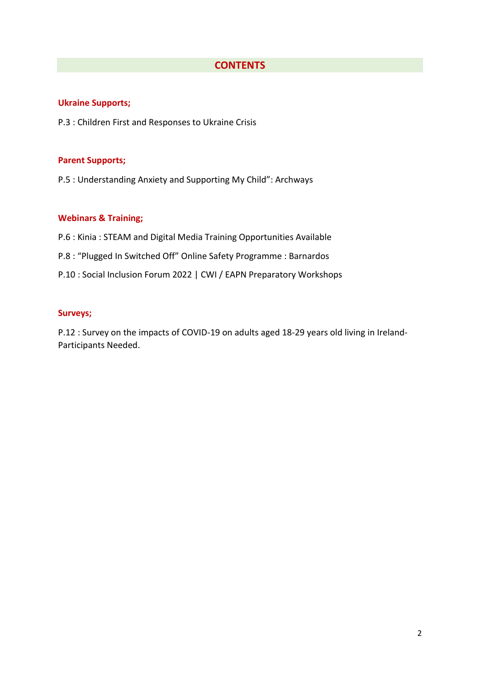### **CONTENTS**

#### **Ukraine Supports;**

P.3 : Children First and Responses to Ukraine Crisis

#### **Parent Supports;**

P.5 : Understanding Anxiety and Supporting My Child": Archways

#### **Webinars & Training;**

- P.6 : Kinia : STEAM and Digital Media Training Opportunities Available
- P.8 : "Plugged In Switched Off" Online Safety Programme : Barnardos
- P.10 : Social Inclusion Forum 2022 | CWI / EAPN Preparatory Workshops

### **Surveys;**

P.12 : Survey on the impacts of COVID-19 on adults aged 18-29 years old living in Ireland-Participants Needed.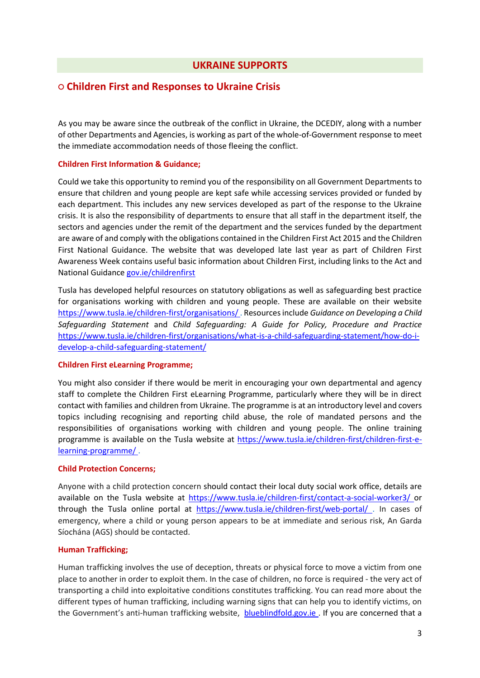### **UKRAINE SUPPORTS**

### **○ Children First and Responses to Ukraine Crisis**

As you may be aware since the outbreak of the conflict in Ukraine, the DCEDIY, along with a number of other Departments and Agencies, is working as part of the whole-of-Government response to meet the immediate accommodation needs of those fleeing the conflict.

#### **Children First Information & Guidance;**

Could we take this opportunity to remind you of the responsibility on all Government Departments to ensure that children and young people are kept safe while accessing services provided or funded by each department. This includes any new services developed as part of the response to the Ukraine crisis. It is also the responsibility of departments to ensure that all staff in the department itself, the sectors and agencies under the remit of the department and the services funded by the department are aware of and comply with the obligations contained in the Children First Act 2015 and the Children First National Guidance. The website that was developed late last year as part of Children First Awareness Week contains useful basic information about Children First, including links to the Act and National Guidance [gov.ie/childrenfirst](https://scanner.topsec.com/?d=2304&r=show&u=gov.ie%2Fchildrenfirst&t=c4817a68981af6be314137352ba28c3f6dff6cf9) 

Tusla has developed helpful resources on statutory obligations as well as safeguarding best practice for organisations working with children and young people. These are available on their website [https://www.tusla.ie/children-first/organisations/ .](https://scanner.topsec.com/?d=2304&r=show&u=https%3A%2F%2Fwww.tusla.ie%2Fchildren-first%2Forganisations%2F&t=df9633933e3e00a70583d7a0e861fb61b01b7dfb) Resources include *Guidance on Developing a Child Safeguarding Statement* and *Child Safeguarding: A Guide for Policy, Procedure and Practice*  [https://www.tusla.ie/children-first/organisations/what-is-a-child-safeguarding-statement/how-do-i](https://scanner.topsec.com/?d=2304&r=show&u=https%3A%2F%2Fwww.tusla.ie%2Fchildren-first%2Forganisations%2Fwhat-is-a-child-safeguarding-statement%2Fhow-do-i-develop-a-child-safeguarding-statement%2F&t=7e87e7137d6f8783cfef09156a164ba4babc1b9b)[develop-a-child-safeguarding-statement/](https://scanner.topsec.com/?d=2304&r=show&u=https%3A%2F%2Fwww.tusla.ie%2Fchildren-first%2Forganisations%2Fwhat-is-a-child-safeguarding-statement%2Fhow-do-i-develop-a-child-safeguarding-statement%2F&t=7e87e7137d6f8783cfef09156a164ba4babc1b9b) 

#### **Children First eLearning Programme;**

You might also consider if there would be merit in encouraging your own departmental and agency staff to complete the Children First eLearning Programme, particularly where they will be in direct contact with families and children from Ukraine. The programme is at an introductory level and covers topics including recognising and reporting child abuse, the role of mandated persons and the responsibilities of organisations working with children and young people. The online training programme is available on the Tusla website at [https://www.tusla.ie/children-first/children-first-e](https://scanner.topsec.com/?d=2304&r=show&u=https%3A%2F%2Fwww.tusla.ie%2Fchildren-first%2Fchildren-first-e-learning-programme%2F&t=305363685d39e831c5bd0f2e5443c277ac4b9c2e)[learning-programme/ .](https://scanner.topsec.com/?d=2304&r=show&u=https%3A%2F%2Fwww.tusla.ie%2Fchildren-first%2Fchildren-first-e-learning-programme%2F&t=305363685d39e831c5bd0f2e5443c277ac4b9c2e)

#### **Child Protection Concerns;**

Anyone with a child protection concern should contact their local duty social work office, details are available on the Tusla website at [https://www.tusla.ie/children-first/contact-a-social-worker3/ o](https://scanner.topsec.com/?d=2304&r=show&u=https%3A%2F%2Fwww.tusla.ie%2Fchildren-first%2Fcontact-a-social-worker3%2F&t=43a8367a3f879828b065a650f627f87b55027a04)r through the Tusla online portal at [https://www.tusla.ie/children-first/web-portal/ .](https://scanner.topsec.com/?d=2304&r=show&u=https%3A%2F%2Fwww.tusla.ie%2Fchildren-first%2Fweb-portal%2F&t=bb0b618c21e637500e46fbe8246f8948256e2d01) In cases of emergency, where a child or young person appears to be at immediate and serious risk, An Garda Síochána (AGS) should be contacted.

#### **Human Trafficking;**

Human trafficking involves the use of deception, threats or physical force to move a victim from one place to another in order to exploit them. In the case of children, no force is required - the very act of transporting a child into exploitative conditions constitutes trafficking. You can read more about the different types of human trafficking, including warning signs that can help you to identify victims, on the Government's anti-human trafficking website, **blueblindfold.gov.ie**. If you are concerned that a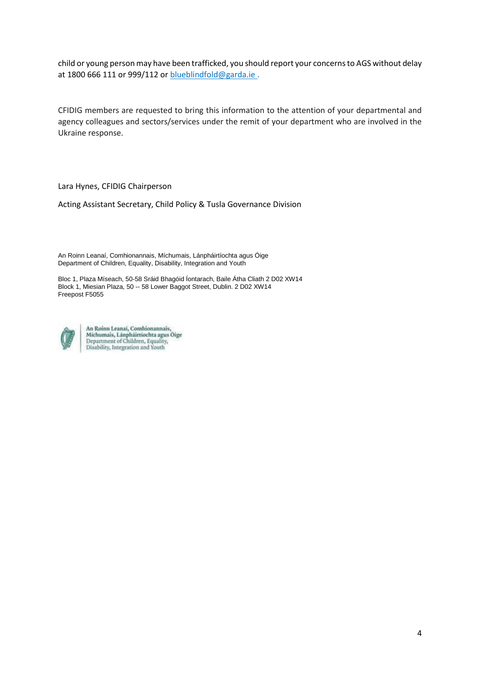child or young person may have been trafficked, you should report your concerns to AGS without delay at 1800 666 111 or 999/112 or blueblindfold@garda.ie.

CFIDIG members are requested to bring this information to the attention of your departmental and agency colleagues and sectors/services under the remit of your department who are involved in the Ukraine response.

Lara Hynes, CFIDIG Chairperson

Acting Assistant Secretary, Child Policy & Tusla Governance Division

An Roinn Leanaí, Comhionannais, Míchumais, Lánpháirtíochta agus Óige Department of Children, Equality, Disability, Integration and Youth

Bloc 1, Plaza Míseach, 50-58 Sráid Bhagóid Íontarach, Baile Átha Cliath 2 D02 XW14 Block 1, Miesian Plaza, 50 -- 58 Lower Baggot Street, Dublin. 2 D02 XW14 Freepost F5055



An Roinn Leanai, Comhionannais,<br>Míchumais, Lánpháirtíochta agus Óige<br>Department of Children, Equality, Disability, Integration and Youth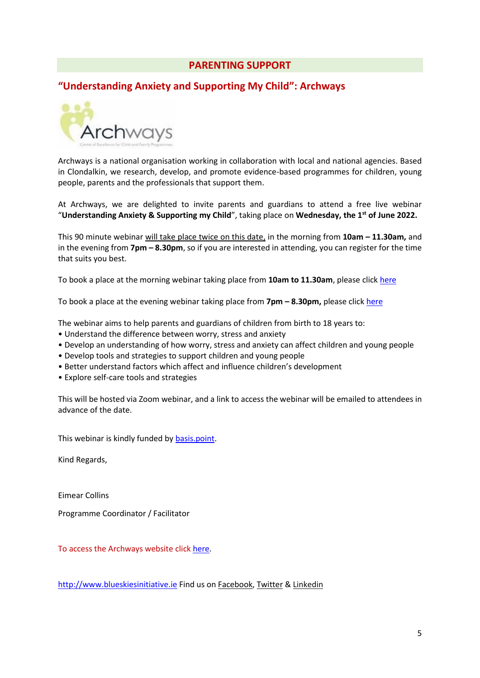### **PARENTING SUPPORT**

### **"Understanding Anxiety and Supporting My Child": Archways**



Archways is a national organisation working in collaboration with local and national agencies. Based in Clondalkin, we research, develop, and promote evidence-based programmes for children, young people, parents and the professionals that support them.

At Archways, we are delighted to invite parents and guardians to attend a free live webinar "**Understanding Anxiety & Supporting my Child**", taking place on **Wednesday, the 1st of June 2022.**

This 90 minute webinar will take place twice on this date, in the morning from **10am – 11.30am,** and in the evening from **7pm – 8.30pm**, so if you are interested in attending, you can register for the time that suits you best.

To book a place at the morning webinar taking place from **10am to 11.30am**, please click [here](https://scanner.topsec.com/?d=2304&r=show&u=https%3A%2F%2Fwww.eventbrite.ie%2Fe%2Funderstanding-anxiety-supporting-my-child-tickets-319342250267&t=c9fa15e362d060b96fe10a16cd7ea97b2b28756e)

To book a place at the evening webinar taking place from **7pm – 8.30pm,** please click [here](https://scanner.topsec.com/?d=2304&r=show&u=https%3A%2F%2Fwww.eventbrite.ie%2Fe%2Funderstanding-anxiety-supporting-my-child-tickets-319341167027&t=354295a2a995a11001c72e11f5632a5817856dd6)

The webinar aims to help parents and guardians of children from birth to 18 years to:

- Understand the difference between worry, stress and anxiety
- Develop an understanding of how worry, stress and anxiety can affect children and young people
- Develop tools and strategies to support children and young people
- Better understand factors which affect and influence children's development
- Explore self-care tools and strategies

This will be hosted via Zoom webinar, and a link to access the webinar will be emailed to attendees in advance of the date.

This webinar is kindly funded b[y basis.point.](https://scanner.topsec.com/?d=2304&r=show&u=https%3A%2F%2Fwww.basispoint.ie%2F&t=bf8d230e807fc13e6521f2472361d7c6610d031a)

Kind Regards,

Eimear Collins

Programme Coordinator / Facilitator

To access the Archways website click [here.](https://www.archways.ie/)

[http://www.blueskiesinitiative.ie](https://scanner.topsec.com/?d=2304&r=show&u=http%3A%2F%2Fwww.blueskiesinitiative.ie&t=d89214c5611953c61416a50c509a70dbca6cddf8) Find us on [Facebook,](https://scanner.topsec.com/?d=2304&r=show&u=http%3A%2F%2Fwww.facebook.com%2Fpages%2FArchways%2F322629140575%3Fref%3Dhl&t=4bffe81d6264d78662aab863cf7fec730fe3ed41) [Twitter](https://scanner.topsec.com/?d=2304&r=show&u=http%3A%2F%2Ftwitter.com%2Farchways&t=2605306b34ea5012263feb2fee23d9098ad212d6) & [Linkedin](https://scanner.topsec.com/?d=2304&r=show&u=https%3A%2F%2Fwww.linkedin.com%2Fcompany%2F78549928%2Fadmin%2F&t=47130510446deaa004a807a0399f3b3b8055f6c0)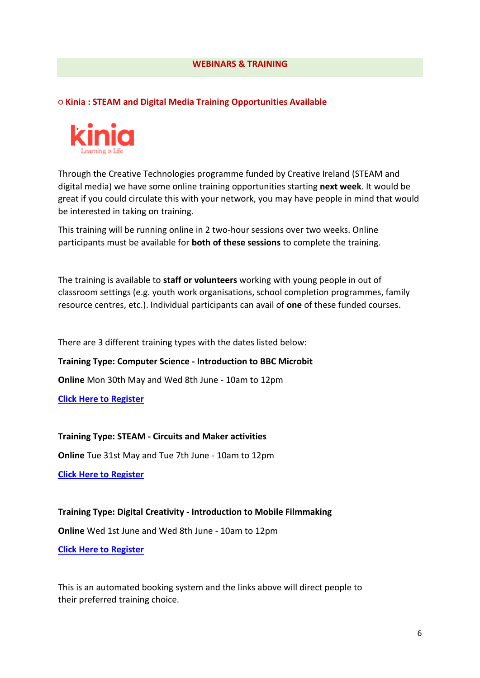#### **WEBINARS & TRAINING**

**○ Kinia : STEAM and Digital Media Training Opportunities Available**



Through the Creative Technologies programme funded by Creative Ireland (STEAM and digital media) we have some online training opportunities starting **next week**. It would be great if you could circulate this with your network, you may have people in mind that would be interested in taking on training.

This training will be running online in 2 two-hour sessions over two weeks. Online participants must be available for **both of these sessions** to complete the training.

The training is available to **staff or volunteers** working with young people in out of classroom settings (e.g. youth work organisations, school completion programmes, family resource centres, etc.). Individual participants can avail of **one** of these funded courses.

There are 3 different training types with the dates listed below:

**Training Type: Computer Science - Introduction to BBC Microbit**

**Online** Mon 30th May and Wed 8th June - 10am to 12pm

**[Click Here to Register](https://scanner.topsec.com/?d=2304&r=show&u=https%3A%2F%2Fkinia.ie%2Fetn%2Fintroduction-to-computer-science-online%2F&t=b8a969ef2e057c3af9ff0c6ddcc9ff6214c6e008)**

**Training Type: STEAM - Circuits and Maker activities**

**Online** Tue 31st May and Tue 7th June - 10am to 12pm

**[Click Here to Register](https://scanner.topsec.com/?d=2304&r=show&u=https%3A%2F%2Fkinia.ie%2Fetn%2Fan-introduction-to-steam-steam-online%2F&t=ae4f2cc7a514ab24a9ff4898ba1425ac57226aa5)**

**Training Type: Digital Creativity - Introduction to Mobile Filmmaking**

**Online** Wed 1st June and Wed 8th June - 10am to 12pm

**[Click Here to Register](https://scanner.topsec.com/?d=2304&r=show&u=https%3A%2F%2Fkinia.ie%2Fetn%2Fan-introduction-to-mobile-filmmaking-online-june%2F&t=8c561ad6c20da6b8b41ec050e7033e1588fe6cad)**

This is an automated booking system and the links above will direct people to their preferred training choice.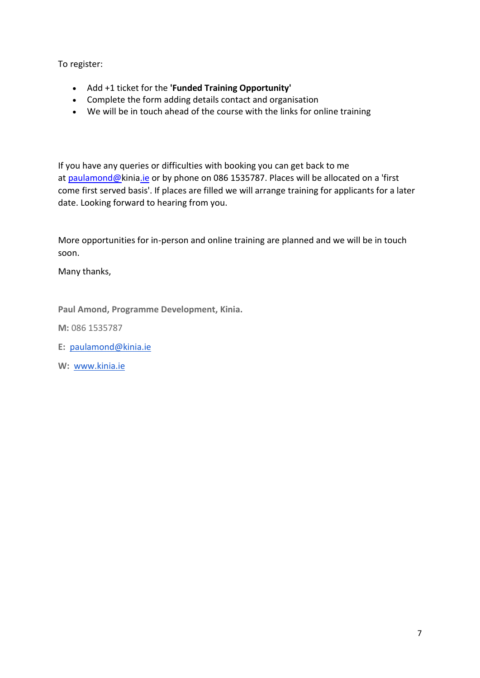To register:

- Add +1 ticket for the **'Funded Training Opportunity'**
- Complete the form adding details contact and organisation
- We will be in touch ahead of the course with the links for online training

If you have any queries or difficulties with booking you can get back to me at [paulamond@kinia.ie](mailto:paulamond@kinia.ie) or by phone on 086 1535787. Places will be allocated on a 'first come first served basis'. If places are filled we will arrange training for applicants for a later date. Looking forward to hearing from you.

More opportunities for in-person and online training are planned and we will be in touch soon.

Many thanks,

**Paul Amond, Programme Development, Kinia.**

**M:** 086 1535787

- **E:** [paulamond@kinia.ie](mailto:paulamond@camara.ie)
- **W:** [www.kinia.ie](https://scanner.topsec.com/?d=2304&r=show&u=http%3A%2F%2Fwww.kinia.ie%2F&t=b2c0dcbef013db5fd1ce82916af6e493815613e1)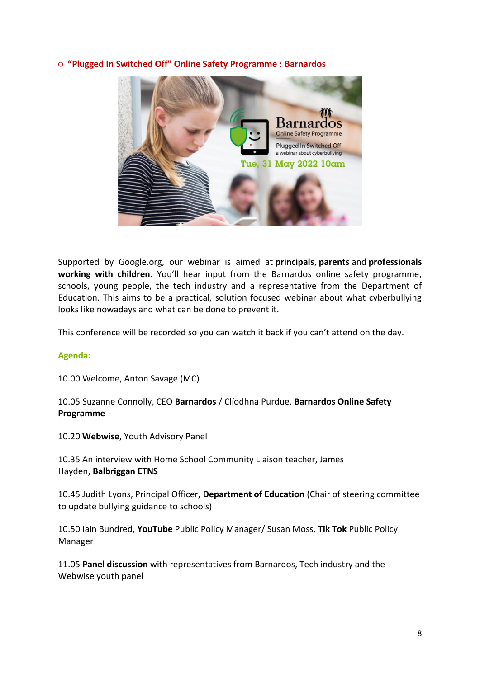#### **○ "Plugged In Switched Off" Online Safety Programme : Barnardos**



Supported by Google.org, our webinar is aimed at **principals**, **parents** and **professionals working with children**. You'll hear input from the Barnardos online safety programme, schools, young people, the tech industry and a representative from the Department of Education. This aims to be a practical, solution focused webinar about what cyberbullying looks like nowadays and what can be done to prevent it.

This conference will be recorded so you can watch it back if you can't attend on the day.

### **Agenda:**

10.00 Welcome, Anton Savage (MC)

### 10.05 Suzanne Connolly, CEO **Barnardos** / Clíodhna Purdue, **Barnardos Online Safety Programme**

10.20 **Webwise**, Youth Advisory Panel

10.35 An interview with Home School Community Liaison teacher, James Hayden, **Balbriggan ETNS**

10.45 Judith Lyons, Principal Officer, **Department of Education** (Chair of steering committee to update bullying guidance to schools)

10.50 Iain Bundred, **YouTube** Public Policy Manager/ Susan Moss, **Tik Tok** Public Policy Manager

11.05 **Panel discussion** with representatives from Barnardos, Tech industry and the Webwise youth panel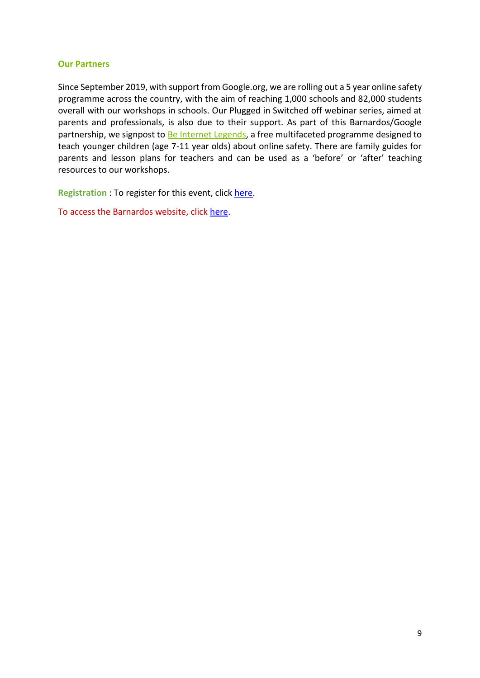#### **Our Partners**

Since September 2019, with support from Google.org, we are rolling out a 5 year online safety programme across the country, with the aim of reaching 1,000 schools and 82,000 students overall with our workshops in schools. Our Plugged in Switched off webinar series, aimed at parents and professionals, is also due to their support. As part of this Barnardos/Google partnership, we signpost to **Be Internet Legends**, a free multifaceted programme designed to teach younger children (age 7-11 year olds) about online safety. There are family guides for parents and lesson plans for teachers and can be used as a 'before' or 'after' teaching resources to our workshops.

**Registration** : To register for this event, click [here.](https://www.eventbrite.ie/e/plugged-in-switched-off-a-webinar-about-cyberbullying-registration-309722778167)

To access the Barnardos website, click [here.](https://www.barnardos.ie/about-us)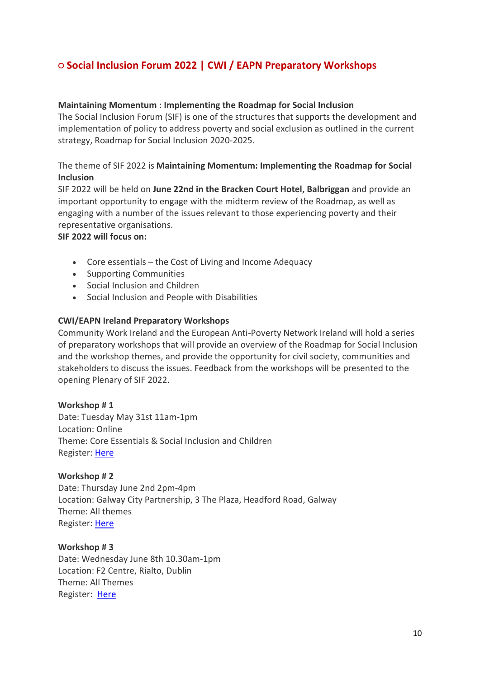## **○ Social Inclusion Forum 2022 | CWI / EAPN Preparatory Workshops**

#### **Maintaining Momentum** : **Implementing the Roadmap for Social Inclusion**

The Social Inclusion Forum (SIF) is one of the structures that supports the development and implementation of policy to address poverty and social exclusion as outlined in the current strategy, Roadmap for Social Inclusion 2020-2025.

### The theme of SIF 2022 is **Maintaining Momentum: Implementing the Roadmap for Social Inclusion**

SIF 2022 will be held on **June 22nd in the Bracken Court Hotel, Balbriggan** and provide an important opportunity to engage with the midterm review of the Roadmap, as well as engaging with a number of the issues relevant to those experiencing poverty and their representative organisations.

#### **SIF 2022 will focus on:**

- Core essentials the Cost of Living and Income Adequacy
- Supporting Communities
- Social Inclusion and Children
- Social Inclusion and People with Disabilities

#### **CWI/EAPN Ireland Preparatory Workshops**

Community Work Ireland and the European Anti-Poverty Network Ireland will hold a series of preparatory workshops that will provide an overview of the Roadmap for Social Inclusion and the workshop themes, and provide the opportunity for civil society, communities and stakeholders to discuss the issues. Feedback from the workshops will be presented to the opening Plenary of SIF 2022.

#### **Workshop # 1**

Date: Tuesday May 31st 11am-1pm Location: Online Theme: Core Essentials & Social Inclusion and Children Register[: Here](https://us06web.zoom.us/meeting/register/tZcpc-isqTktHd3SYaXC6aqouM5b9uSGu3eE)

#### **Workshop # 2**

Date: Thursday June 2nd 2pm-4pm Location: Galway City Partnership, 3 The Plaza, Headford Road, Galway Theme: All themes Register[: Here](https://www.surveymonkey.com/r/SIF2022PrepWorkshops)

**Workshop # 3** Date: Wednesday June 8th 10.30am-1pm Location: F2 Centre, Rialto, Dublin Theme: All Themes Register: [Here](https://www.surveymonkey.com/r/SIF2022PrepWorkshops)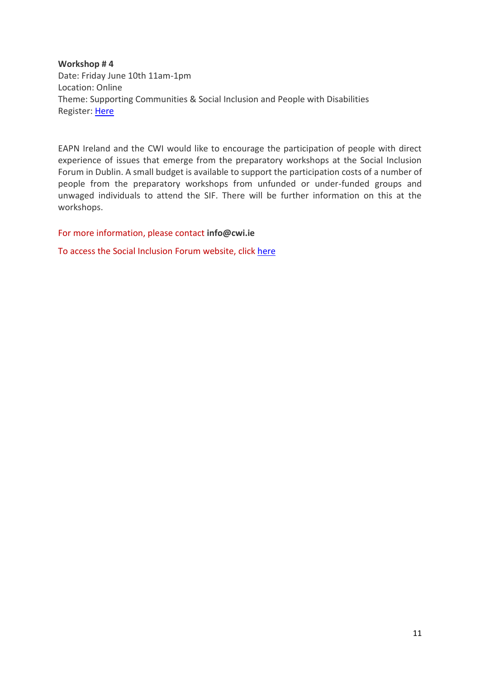**Workshop # 4** Date: Friday June 10th 11am-1pm Location: Online Theme: Supporting Communities & Social Inclusion and People with Disabilities Register[: Here](https://us06web.zoom.us/meeting/register/tZIscuuurzsqGdIVEHk1fA8dzZBEvSMfAq4A)

EAPN Ireland and the CWI would like to encourage the participation of people with direct experience of issues that emerge from the preparatory workshops at the Social Inclusion Forum in Dublin. A small budget is available to support the participation costs of a number of people from the preparatory workshops from unfunded or under-funded groups and unwaged individuals to attend the SIF. There will be further information on this at the workshops.

For more information, please contact **[info@cwi.ie](mailto:info@cwi.ie)**

To access the Social Inclusion Forum website, click [here](http://www.socialinclusion.ie/SocialInclusionForum.html)